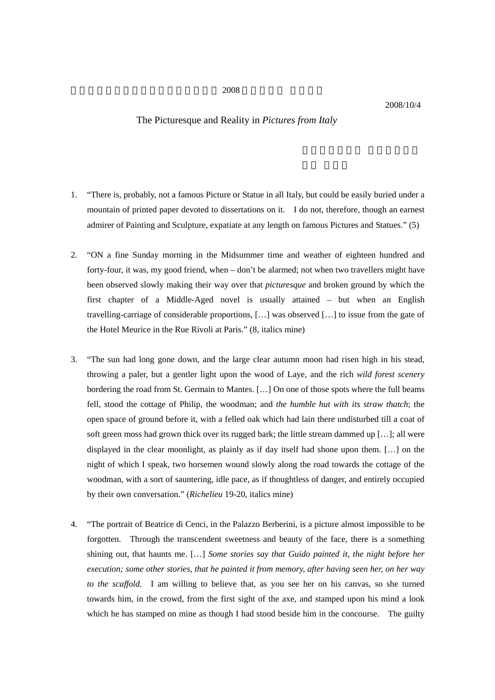## $2008$

## 2008/10/4

## The Picturesque and Reality in *Pictures from Italy*

- 1. "There is, probably, not a famous Picture or Statue in all Italy, but could be easily buried under a mountain of printed paper devoted to dissertations on it. I do not, therefore, though an earnest admirer of Painting and Sculpture, expatiate at any length on famous Pictures and Statues." (5)
- 2. "ON a fine Sunday morning in the Midsummer time and weather of eighteen hundred and forty-four, it was, my good friend, when – don't be alarmed; not when two travellers might have been observed slowly making their way over that *picturesque* and broken ground by which the first chapter of a Middle-Aged novel is usually attained – but when an English travelling-carriage of considerable proportions, […] was observed […] to issue from the gate of the Hotel Meurice in the Rue Rivoli at Paris." (8, italics mine)
- 3. "The sun had long gone down, and the large clear autumn moon had risen high in his stead, throwing a paler, but a gentler light upon the wood of Laye, and the rich *wild forest scenery*  bordering the road from St. Germain to Mantes. […] On one of those spots where the full beams fell, stood the cottage of Philip, the woodman; and *the humble hut with its straw thatch*; the open space of ground before it, with a felled oak which had lain there undisturbed till a coat of soft green moss had grown thick over its rugged bark; the little stream dammed up […]; all were displayed in the clear moonlight, as plainly as if day itself had shone upon them. […] on the night of which I speak, two horsemen wound slowly along the road towards the cottage of the woodman, with a sort of sauntering, idle pace, as if thoughtless of danger, and entirely occupied by their own conversation." (*Richelieu* 19-20, italics mine)
- 4. "The portrait of Beatrice di Cenci, in the Palazzo Berberini, is a picture almost impossible to be forgotten. Through the transcendent sweetness and beauty of the face, there is a something shining out, that haunts me. […] *Some stories say that Guido painted it, the night before her execution; some other stories, that he painted it from memory, after having seen her, on her way to the scaffold.* I am willing to believe that, as you see her on his canvas, so she turned towards him, in the crowd, from the first sight of the axe, and stamped upon his mind a look which he has stamped on mine as though I had stood beside him in the concourse. The guilty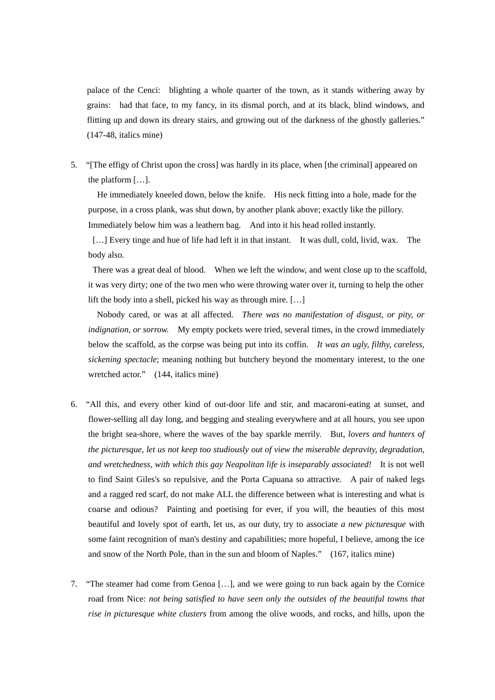palace of the Cenci: blighting a whole quarter of the town, as it stands withering away by grains: had that face, to my fancy, in its dismal porch, and at its black, blind windows, and flitting up and down its dreary stairs, and growing out of the darkness of the ghostly galleries." (147-48, italics mine)

5. "[The effigy of Christ upon the cross] was hardly in its place, when [the criminal] appeared on the platform […].

 He immediately kneeled down, below the knife. His neck fitting into a hole, made for the purpose, in a cross plank, was shut down, by another plank above; exactly like the pillory. Immediately below him was a leathern bag. And into it his head rolled instantly.

[...] Every tinge and hue of life had left it in that instant. It was dull, cold, livid, wax. The body also.

There was a great deal of blood. When we left the window, and went close up to the scaffold, it was very dirty; one of the two men who were throwing water over it, turning to help the other lift the body into a shell, picked his way as through mire. […]

Nobody cared, or was at all affected. *There was no manifestation of disgust, or pity, or indignation, or sorrow.* My empty pockets were tried, several times, in the crowd immediately below the scaffold, as the corpse was being put into its coffin. *It was an ugly, filthy, careless, sickening spectacle*; meaning nothing but butchery beyond the momentary interest, to the one wretched actor." (144, italics mine)

- 6. "All this, and every other kind of out-door life and stir, and macaroni-eating at sunset, and flower-selling all day long, and begging and stealing everywhere and at all hours, you see upon the bright sea-shore, where the waves of the bay sparkle merrily. But, *lovers and hunters of the picturesque, let us not keep too studiously out of view the miserable depravity, degradation, and wretchedness, with which this gay Neapolitan life is inseparably associated!* It is not well to find Saint Giles's so repulsive, and the Porta Capuana so attractive. A pair of naked legs and a ragged red scarf, do not make ALL the difference between what is interesting and what is coarse and odious? Painting and poetising for ever, if you will, the beauties of this most beautiful and lovely spot of earth, let us, as our duty, try to associate *a new picturesque* with some faint recognition of man's destiny and capabilities; more hopeful, I believe, among the ice and snow of the North Pole, than in the sun and bloom of Naples." (167, italics mine)
- 7. "The steamer had come from Genoa […], and we were going to run back again by the Cornice road from Nice: *not being satisfied to have seen only the outsides of the beautiful towns that rise in picturesque white clusters* from among the olive woods, and rocks, and hills, upon the